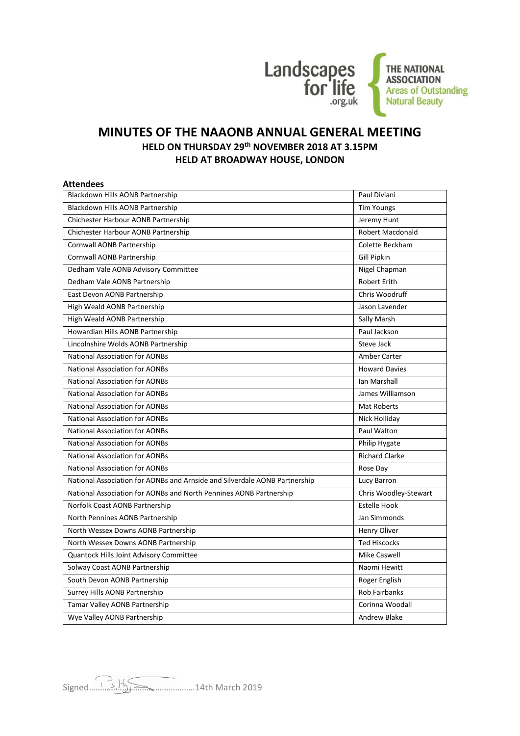

# **MINUTES OF THE NAAONB ANNUAL GENERAL MEETING HELD ON THURSDAY 29th NOVEMBER 2018 AT 3.15PM HELD AT BROADWAY HOUSE, LONDON**

| <b>Attendees</b>                                                           |                       |
|----------------------------------------------------------------------------|-----------------------|
| Blackdown Hills AONB Partnership                                           | Paul Diviani          |
| Blackdown Hills AONB Partnership                                           | <b>Tim Youngs</b>     |
| Chichester Harbour AONB Partnership                                        | Jeremy Hunt           |
| Chichester Harbour AONB Partnership                                        | Robert Macdonald      |
| <b>Cornwall AONB Partnership</b>                                           | Colette Beckham       |
| Cornwall AONB Partnership                                                  | Gill Pipkin           |
| Dedham Vale AONB Advisory Committee                                        | Nigel Chapman         |
| Dedham Vale AONB Partnership                                               | <b>Robert Erith</b>   |
| East Devon AONB Partnership                                                | Chris Woodruff        |
| High Weald AONB Partnership                                                | Jason Lavender        |
| High Weald AONB Partnership                                                | Sally Marsh           |
| Howardian Hills AONB Partnership                                           | Paul Jackson          |
| Lincolnshire Wolds AONB Partnership                                        | Steve Jack            |
| <b>National Association for AONBs</b>                                      | Amber Carter          |
| <b>National Association for AONBs</b>                                      | <b>Howard Davies</b>  |
| <b>National Association for AONBs</b>                                      | Ian Marshall          |
| <b>National Association for AONBs</b>                                      | James Williamson      |
| <b>National Association for AONBs</b>                                      | <b>Mat Roberts</b>    |
| <b>National Association for AONBs</b>                                      | Nick Holliday         |
| <b>National Association for AONBs</b>                                      | Paul Walton           |
| <b>National Association for AONBs</b>                                      | Philip Hygate         |
| <b>National Association for AONBs</b>                                      | <b>Richard Clarke</b> |
| <b>National Association for AONBs</b>                                      | Rose Day              |
| National Association for AONBs and Arnside and Silverdale AONB Partnership | Lucy Barron           |
| National Association for AONBs and North Pennines AONB Partnership         | Chris Woodley-Stewart |
| Norfolk Coast AONB Partnership                                             | <b>Estelle Hook</b>   |
| North Pennines AONB Partnership                                            | Jan Simmonds          |
| North Wessex Downs AONB Partnership                                        | Henry Oliver          |
| North Wessex Downs AONB Partnership                                        | <b>Ted Hiscocks</b>   |
| Quantock Hills Joint Advisory Committee                                    | <b>Mike Caswell</b>   |
| Solway Coast AONB Partnership                                              | Naomi Hewitt          |
| South Devon AONB Partnership                                               | Roger English         |
| Surrey Hills AONB Partnership                                              | <b>Rob Fairbanks</b>  |
| Tamar Valley AONB Partnership                                              | Corinna Woodall       |
| Wye Valley AONB Partnership                                                | <b>Andrew Blake</b>   |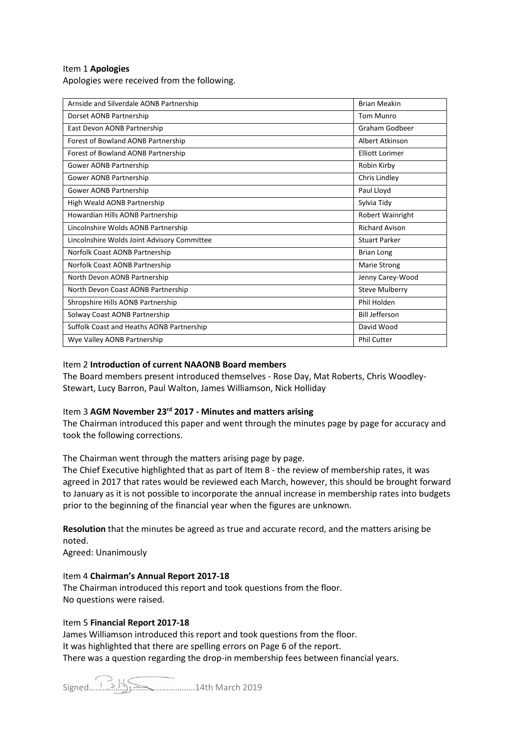### Item 1 **Apologies**

Apologies were received from the following.

| Arnside and Silverdale AONB Partnership     | <b>Brian Meakin</b>    |
|---------------------------------------------|------------------------|
| Dorset AONB Partnership                     | <b>Tom Munro</b>       |
| East Devon AONB Partnership                 | Graham Godbeer         |
| Forest of Bowland AONB Partnership          | Albert Atkinson        |
| Forest of Bowland AONB Partnership          | <b>Elliott Lorimer</b> |
| Gower AONB Partnership                      | Robin Kirby            |
| Gower AONB Partnership                      | Chris Lindley          |
| Gower AONB Partnership                      | Paul Lloyd             |
| High Weald AONB Partnership                 | Sylvia Tidy            |
| Howardian Hills AONB Partnership            | Robert Wainright       |
| Lincolnshire Wolds AONB Partnership         | <b>Richard Avison</b>  |
| Lincolnshire Wolds Joint Advisory Committee | <b>Stuart Parker</b>   |
| Norfolk Coast AONB Partnership              | <b>Brian Long</b>      |
| Norfolk Coast AONB Partnership              | Marie Strong           |
| North Devon AONB Partnership                | Jenny Carey-Wood       |
| North Devon Coast AONB Partnership          | <b>Steve Mulberry</b>  |
| Shropshire Hills AONB Partnership           | Phil Holden            |
| Solway Coast AONB Partnership               | <b>Bill Jefferson</b>  |
| Suffolk Coast and Heaths AONB Partnership   | David Wood             |
| Wye Valley AONB Partnership                 | <b>Phil Cutter</b>     |

## Item 2 **Introduction of current NAAONB Board members**

The Board members present introduced themselves - Rose Day, Mat Roberts, Chris Woodley-Stewart, Lucy Barron, Paul Walton, James Williamson, Nick Holliday

### Item 3 **AGM November 23rd 2017 - Minutes and matters arising**

The Chairman introduced this paper and went through the minutes page by page for accuracy and took the following corrections.

The Chairman went through the matters arising page by page.

The Chief Executive highlighted that as part of Item 8 - the review of membership rates, it was agreed in 2017 that rates would be reviewed each March, however, this should be brought forward to January as it is not possible to incorporate the annual increase in membership rates into budgets prior to the beginning of the financial year when the figures are unknown.

**Resolution** that the minutes be agreed as true and accurate record, and the matters arising be noted.

Agreed: Unanimously

Item 4 **Chairman's Annual Report 2017-18**  The Chairman introduced this report and took questions from the floor. No questions were raised.

### Item 5 **Financial Report 2017-18**

James Williamson introduced this report and took questions from the floor. It was highlighted that there are spelling errors on Page 6 of the report. There was a question regarding the drop-in membership fees between financial years.